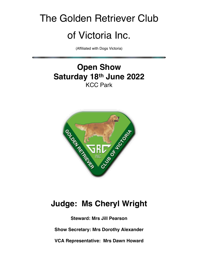# The Golden Retriever Club of Victoria Inc.

(Affiliated with Dogs Victoria)

## **Open Show Saturday 18th June 2022** KCC Park



## **Judge: Ms Cheryl Wright**

**Steward: Mrs Jill Pearson Show Secretary: Mrs Dorothy Alexander**

**VCA Representative: Mrs Dawn Howard**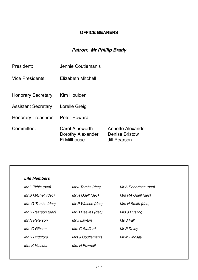## **OFFICE BEARERS**

## *Patron: Mr Phillip Brady*

| President:                 | Jennie Coutlemanis                                          |                                                            |  |
|----------------------------|-------------------------------------------------------------|------------------------------------------------------------|--|
| Vice Presidents:           | Elizabeth Mitchell                                          |                                                            |  |
| <b>Honorary Secretary</b>  | Kim Houlden                                                 |                                                            |  |
| <b>Assistant Secretary</b> | Lorelle Greig                                               |                                                            |  |
| <b>Honorary Treasurer</b>  | <b>Peter Howard</b>                                         |                                                            |  |
| Committee:                 | <b>Carol Ainsworth</b><br>Dorothy Alexander<br>Fi Millhouse | Annette Alexander<br><b>Denise Bristow</b><br>Jill Pearson |  |

| <b>Life Members</b> |                   |                      |
|---------------------|-------------------|----------------------|
| Mr L Pithie (dec)   | Mr J Tombs (dec)  | Mr A Robertson (dec) |
| Mr B Mitchell (dec) | Mr R Odell (dec)  | Mrs RA Odell (dec)   |
| Mrs G Tombs (dec)   | Mr P Watson (dec) | Mrs H Smith (dec)    |
| Mr D Pearson (dec)  | Mr B Reeves (dec) | Mrs J Dusting        |
| Mr N Peterson       | Mr J Lawton       | Ms J Fall            |
| Mrs C Gibson        | Mrs C Stafford    | Mr P Doley           |
| Mr R Bridgford      | Mrs J Coutlemanis | Mr M Lindsay         |
| Mrs K Houlden       | Mrs H Pownall     |                      |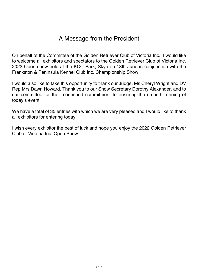## A Message from the President

On behalf of the Committee of the Golden Retriever Club of Victoria Inc., I would like to welcome all exhibitors and spectators to the Golden Retriever Club of Victoria Inc. 2022 Open show held at the KCC Park, Skye on 18th June in conjunction with the Frankston & Peninsula Kennel Club Inc. Championship Show

I would also like to take this opportunity to thank our Judge, Ms Cheryl Wright and DV Rep Mrs Dawn Howard. Thank you to our Show Secretary Dorothy Alexander, and to our committee for their continued commitment to ensuring the smooth running of today's event.

We have a total of 35 entries with which we are very pleased and I would like to thank all exhibitors for entering today.

I wish every exhibitor the best of luck and hope you enjoy the 2022 Golden Retriever Club of Victoria Inc. Open Show.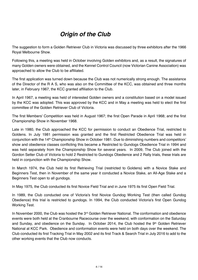## *Origin of the Club*

The suggestion to form a Golden Retriever Club in Victoria was discussed by three exhibitors after the 1966 Royal Melbourne Show.

Following this, a meeting was held in October involving Golden exhibitors and, as a result, the signatures of many Golden owners were obtained, and the Kennel Control Council (now Victorian Canine Association) was approached to allow the Club to be affiliated.

The first application was turned down because the Club was not numerically strong enough. The assistance of the Director of the R A S, who was also on the Committee of the KCC, was obtained and three months later, in February 1967, the KCC granted affiliation to the Club.

In April 1967, a meeting was held of interested Golden owners and a constitution based on a model issued by the KCC was adopted. This was approved by the KCC and in May a meeting was held to elect the first committee of the Golden Retriever Club of Victoria.

The first Members' Competition was held in August 1967; the first Open Parade in April 1968; and the first Championship Show in November 1968.

Late in 1980, the Club approached the KCC for permission to conduct an Obedience Trial, restricted to Goldens. In July 1981 permission was granted and the first Restricted Obedience Trial was held in conjunction with the 14th Championship Show in October 1981. Due to diminishing numbers and competitors' show and obedience classes conflicting this became a Restricted to Gundogs Obedience Trial in 1994 and was held separately from the Championship Show for several years. In 2009, The Club joined with the Gordon Setter Club of Victoria to hold 2 Restricted to Gundogs Obedience and 2 Rally trials, these trials are held in conjunction with the Championship Show.

In March 1974, the Club held its first Retrieving Trial (restricted to Goldens) with a Novice Stake and Beginners Test, then in November of the same year it conducted a Novice Stake, an All-Age Stake and a Beginners Test open to all gundogs.

In May 1975, the Club conducted its first Novice Field Trial and in June 1975 its first Open Field Trial.

In 1989, the Club conducted one of Victoria's first Novice Gundog Working Test (then called Gundog Obedience) this trial is restricted to gundogs. In 1994, the Club conducted Victoria's first Open Gundog Working Test.

In November 2000, the Club was hosted the  $3<sup>rd</sup>$  Golden Retriever National. The conformation and obedience events were both held at the Cranbourne Racecourse over the weekend, with conformation on the Saturday and Sunday, and obedience on the Sunday. In October 2014, the Club hosted the 9<sup>th</sup> Golden Retriever National at KCC Park. Obedience and conformation events were held on both days over the weekend. The Club conducted its first Tracking Trial in May 2002 and its first Track & Search Trial in July 2016 to add to the other working events that the Club now conducts.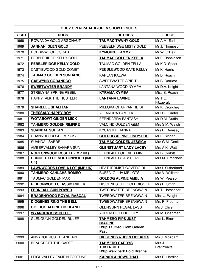| <b>GRCV OPEN PARADE/OPEN SHOW RESULTS</b> |                                                   |                                                                                      |                              |
|-------------------------------------------|---------------------------------------------------|--------------------------------------------------------------------------------------|------------------------------|
| <b>YEAR</b>                               | <b>DOGS</b>                                       | <b>BITCHES</b>                                                                       | <b>JUDGE</b>                 |
| 1968                                      | ROWANDA GOLD ARGONAUT                             | <b>TAUMAC TAWNY GOLD</b>                                                             | Mr A.M. Earl                 |
| 1969                                      | <b>JANNANI GLEN GOLD</b>                          | PEBBELRIDGE MISTY GOLD                                                               | Mr J. Thompson               |
| 1970                                      | DOBBINWOOD OSCAR                                  | <b>KYMOUNT TAMMY</b>                                                                 | Mr W. O'Heir                 |
| 1971                                      | PEBBLERIDGE KELLY GOLD                            | <b>TAUMAC GOLDEN KEELA</b>                                                           | Mr F. Donaldson              |
| 1972                                      | PEBBLERIDGE KELLY GOLD                            | <b>TAUMAC GOLDEN TELLA</b>                                                           | Mr K.D. Speer                |
| 1973                                      | CASTIEWOOD GOLD COMET                             | PEBBLEWOOD KATE KELLY                                                                | Mr K. Harris                 |
| 1974                                      | <b>TAUMAC GOLDEN SUNDANCE</b>                     | KARJAN KALWA                                                                         | Mr B. Roach                  |
| 1975                                      | <b>GAEWYND COBANDCO</b>                           | <b>SWEETWATER SPIRIT</b>                                                             | Mr B. Dorricot               |
| 1976                                      | <b>SWEETWATER BRANDY</b>                          | LANTANA WOOD NYMPH                                                                   | Mr D.A. Knight               |
| 1977                                      | <b>STRELYNA SPRING REBEL</b>                      | <b>KYRAMA KYMBA</b>                                                                  | Miss S. Roach                |
| 1978                                      | <b>HAPPYTALK THE HUSTLER</b>                      | <b>LANTANA LAVINE</b>                                                                | Mr T.E.<br>Fitzgerald        |
| 1979                                      | <b>SHARELLE SHALITAN</b>                          | MILLOKA CHARPAN HEIDI                                                                | Mr K. Cronchey               |
| 1980                                      | <b>THESSALY HAPPY BOY</b>                         | <b>ALLANORA PAMELA</b>                                                               | Mr R.G. Carter               |
| 1981                                      | <b>WOTABOWT GINGER MICK</b>                       | FERNDARRA FANTASY                                                                    | Mr D.M. Duffin               |
| 1982                                      | <b>TAHMERO GOLDEN RIMFIRE</b>                     | <b>VALCIND GOLDEN GEM</b>                                                            | Mrs S.M. Walsh               |
| 1983                                      | <b>SUANDAL SULTAN</b>                             | <b>KYCASTLE HANNA</b>                                                                | Mrs D. Demsey                |
| 1984                                      | CHANNRI COOKE (IMP UK)                            | <b>GOLDOG ALPINE LINDY-LOU</b>                                                       | Mr E. Singer                 |
| 1985                                      | <b>SUANDAL SABRE</b>                              | <b>TAUMAC GOLDEN JESSICA</b>                                                         | Mrs G.M. Cook                |
| 1986                                      | AMBERVALLEY SAHARA SUN                            | <b>GLENSTUART LADY LACEY</b>                                                         | Mrs A.K. Watt                |
| 1987                                      | <b>NORTONWOOD ROSETTI (IMP UK)</b>                | FERNFALL FOREVER MINE                                                                | Mr B. Corbitt                |
| 1988                                      | <b>CONCERTO OF NORTONWOOD (IMP)</b><br><b>UK)</b> | FERNFALL CHASSELAS                                                                   | Mrs M. Cronchey              |
| 1989                                      | <b>LAWNWOODS LOVE A LOT (IMP UK)</b>              | <b>HEATHERMIST COVERGIRL</b>                                                         | Mrs I. Sutherland            |
| 1990                                      | <b>TAHMERO KAHLAHS ROMEO</b>                      | BUFFALO LUV ME LOTS                                                                  | Mrs V. Williams              |
| 1991                                      | <b>TAUMAC GOLDEN MAX</b>                          | <b>GOLDOG ALPINE AMELIA</b>                                                          | Mr W. Pearson                |
| 1992                                      | <b>RIBBONWOOD CLASSIC RULER</b>                   | <b>DIOGENES THE GOLDDIGGER</b>                                                       | Mrs P. Smith                 |
| 1993                                      | <b>FERNFALL SUN POWER</b>                         | <b>TWEEDWATER BRENGWAIN</b>                                                          | Mr T. Horschner              |
| 1994                                      | <b>BRADENWOOD ROYAL RASCAL</b>                    | <b>TWEEDWATER BRENGWAIN</b>                                                          | Miss J. Wright               |
| 1995                                      | <b>DIOGENES RING THE BELL</b>                     | <b>TWEEDWATER BRENGWAIN</b>                                                          | Mrs P. Freeman               |
| 1996                                      | <b>GOLDOG ALPINE HIGHLAND</b>                     | <b>GLENGUNN REGAL LASS</b>                                                           | Ms J. Oliver                 |
| 1997                                      | <b>WYANDRA KISS N TELL</b>                        | <b>AURUM HIGH FIDELITY</b>                                                           | Mr M. Chapman                |
| 1998                                      | <b>GLENGUNN GOLDEN RULER</b>                      | <b>TAHMERO PIPS JUST</b><br><b>IMAGINE</b><br><b>R/Up Taumac From Golden</b><br>Past | Mrs L. Black                 |
| 1999                                      | ANNADOR JUST IT AND ABIT                          | <b>DIOGENES QUEEN OHEARTS</b>                                                        | Ms J. McAdam                 |
| 2000                                      | BEAUCROFT THE CADET                               | <b>TAHMERO CADDYS</b><br><b>TOKENGIFT</b><br>R/Up Waikipark Bold Brenna              | Mrs J.<br><b>Braithwaite</b> |
| 2001                                      | LEIGHVALLEY FAME N FORTUNE                        | <b>KAPARLA HOWS THAT</b>                                                             | Mrs E. Harding               |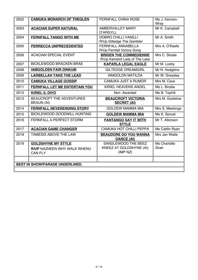| 2002 | <b>CAMUKA MONARCH OF THEGLEN</b>                                           | FERNFALL CHINA ROSE                                            | Ms J. Kennon-<br>Wray |  |  |
|------|----------------------------------------------------------------------------|----------------------------------------------------------------|-----------------------|--|--|
| 2003 | <b>ACACIAN SUPER NATURAL</b>                                               | <b>AMBERVALLEY MARY</b><br>O'ARGYLL                            | Mr K. Campbell        |  |  |
| 2004 | <b>FERNFALL TANGO WITH ME</b>                                              | <b>DOBRO CHILLI VANILLI</b><br>R/Up Giltedge The Gambler       | Mr A. Smith           |  |  |
| 2005 | PERRECCA UNPRECEDENTED                                                     | <b>FERNFALL ANNABELLA</b><br>R/Up Fernfall Victory Song        | Mrs A. O'Keefe        |  |  |
| 2006 | <b>ACACIAN SPECIAL EVENT</b>                                               | <b>BRIDEN THE COMMEDIENNE</b><br>R/Up Kamelot Lady of The Lake | Mrs C. Stoate         |  |  |
| 2007 | <b>BICKLEWOOD BRACKEN BRAE</b>                                             | <b>KAPARLA LEGAL EAGLE</b>                                     | Mr M. Looby           |  |  |
| 2008 | <b>IAMGOLDEN FAIR DINKUM</b>                                               | <b>GILTEDGE DREAMGIRL</b>                                      | Mr N. Hodgkins        |  |  |
| 2009 | <b>LARBELLAH TAKE THE LEAD</b>                                             | <b>IAMGOLDN MATILDA</b>                                        | Mr W. Greasley        |  |  |
| 2010 | <b>CAMUKA VILLAGE GOSSIP</b>                                               | <b>CAMUKA JUST A RUMOR</b>                                     | Mrs M. Cave           |  |  |
| 2011 | FERNFALL LET ME ENTERTAIN YOU                                              | KIRIEL HEAVENS ANGEL                                           | Ms L. Brodie          |  |  |
| 2012 | <b>KIRIEL IL DIVO</b>                                                      | Non-Awarded                                                    | Ms B. Tophill         |  |  |
| 2013 | <b>BEAUCROFT THE ADVENTURES</b><br><b>BEGUN (AI)</b>                       | <b>BEAUCROFT VICTORIA</b><br><b>SECRET (AI)</b>                | Mrs M. Gostelow       |  |  |
| 2014 | <b>FERNFALL NEVERENDING STORY</b>                                          | <b>GOLDEW MAMMA MIA</b>                                        | Mrs S. Meekings       |  |  |
| 2015 | <b>BICKLEWOOD GOODWILL HUNTING</b>                                         | <b>GOLDEW MAMMA MIA</b>                                        | Ms K. Sproat          |  |  |
| 2016 | <b>FERNFALL A PERFECT STORM</b>                                            | <b>FANTANGO SAY IT WITH</b><br><b>STYLE</b>                    | Mr T. Atkinson        |  |  |
| 2017 | <b>ACACIAN GAME CHANGER</b>                                                | CAMUKA HOT CHILLI PEPPA                                        | Ms Caitlin Ryan       |  |  |
| 2018 | TAMESIS ABOVE THE LAW                                                      | <b>BEAUDORE DO YOU WANNA</b><br><b>DANCE (AI)</b>              | Mrs Jan Waite         |  |  |
| 2019 | <b>GOLDSHYNE MY STYLE</b><br>R/UP NAZNEEN WHY WALK WHENU<br><b>CAN FLY</b> | SANDLEWOOD THE BEEZ<br>KNEEZ AT GOLDSHYNE (AI)<br>(IMP NZ)     | Ms Charlotte<br>Shah  |  |  |
|      | <b>BEST IN SHOW/PARADE UNDERLINED.</b>                                     |                                                                |                       |  |  |
|      |                                                                            |                                                                |                       |  |  |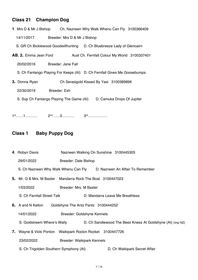### **Class 21 Champion Dog**

| <b>1.</b> Mrs D & Mr J Bishop |                                                                          | Ch. Nazneen Why Walk Whenu Can Fly 3100366409 |  |
|-------------------------------|--------------------------------------------------------------------------|-----------------------------------------------|--|
| 14/11/2017                    | Breeder: Mrs D & Mr J Bishop                                             |                                               |  |
|                               | S. GR Ch Bicklewood Goodwillhunting                                      | D. Ch Bluebreeze Lady of Glencairn            |  |
| AB. 2. Emma Jean Ford         |                                                                          | Aust Ch. Fernfall Colour My World 3100337401  |  |
| 20/02/2016                    | Breeder: Jane Fall                                                       |                                               |  |
|                               | S. Ch Fantango Playing For Keeps (AI) D. Ch Fernfall Gives Me Goosebumps |                                               |  |
| 3. Donna Ryan                 |                                                                          | Ch Serasigold Kissed By Yasi 3100389896       |  |
| 22/30/2019                    | Breeder: Exh                                                             |                                               |  |
|                               | S. Sup Ch Fantango Playing The Game (AI)                                 | D. Camuka Drops Of Jupiter                    |  |
|                               |                                                                          |                                               |  |

1st……1………. 2nd……3………. 3rd…………….

## **Class 1 Baby Puppy Dog**

- **4**. Robyn Davis Nazneen Walking On Sunshine 3100445305
	- 29/01/2022 Breeder: Dale Bishop
		- S. Ch Nazneen Why Walk Whenu Can Fly D. Nazneen An Affair To Remember
- **5.** Mr. G & Mrs. M Baxter Mandarra Rock The Boat 3100447023
	- 1/03/2022 Breeder: Mrs. M Baxter
	- S. Ch Fernfall Street Talk D. Mandarra Leave Me Breathless
- **6.** A and N Kelton Goldshyne The Antz Pantz 3100444252
	- 14/01/2022 Breeder: Goldshyne Kennels
	- S. Goldstreem Where's Wally D. Ch Sandlewood The Beez Kneez At Goldshyne (AI) (Imp NZ)
- **7.** Wayne & Vicki Ponton Waikipark Rockin Rocket 3100447726
	- 23/02/2022 Breeder: Waikipark Kennels
	- S. Ch Trigolden Southern Symphony (AI) D. Ch Waikipark Secret Affair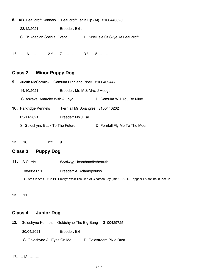**8. AB** Beaucroft Kennels Beaucroft Let It Rip (AI) 3100443320

23/12/2021 Breeder: Exh.

S. Ch Acacian Special Event D. Kiriel Isle Of Skye At Beaucroft

1st………6……. 2nd……7………. 3rd……5……….

### **Class 2 Minor Puppy Dog**

| 9. |                                 | Judith McCormick Camuka Highland Piper 3100439447 |                                |
|----|---------------------------------|---------------------------------------------------|--------------------------------|
|    | 14/10/2021                      | Breeder: Mr. M & Mrs. J Hodges                    |                                |
|    | S. Askaval Anarchy With Alubyc  |                                                   | D. Camuka Will You Be Mine     |
|    | <b>10.</b> Parkridge Kennels    | Fernfall Mr Bojangles 3100440202                  |                                |
|    | 05/11/2021                      | Breeder: Ms J Fall                                |                                |
|    | S. Goldshyne Back To The Future |                                                   | D. Fernfall Fly Me To The Moon |

1st……10………. 2nd……9……….

## **Class 3 Puppy Dog**

**11***.* S Currie Wysiwyg Ucanthandlethetruth

08/08/2021 Breeder: A. Adamopoulos

S. Am Ch Am GR Ch BR Emerys Walk The Line At Cinamon Bay (Imp USA) D. Topgeer I Autotube In Picture

1st……11……….

## **Class 4 Junior Dog**

**12.** Goldshyne Kennels Goldshyne The Big Bang 3100429725

30/04/2021 Breeder: Exh

S. Goldshyne All Eyes On Me D. Goldstreem Pixie Dust

1st……12……….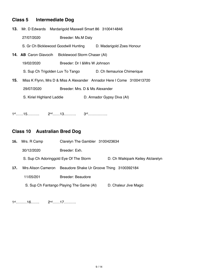## **Class 5 Intermediate Dog**

|     |                              | 13. Mr. D Edwards Mardarigold Maxwell Smart 86 3100414846             |                             |  |
|-----|------------------------------|-----------------------------------------------------------------------|-----------------------------|--|
|     | 27/07/2020                   | Breeder: Ms.M Daly                                                    |                             |  |
|     |                              | S. Gr Ch Bicklewood Goodwill Hunting                                  | D. Madarigold Zoes Honour   |  |
|     | <b>14. AB</b> Caron Glavocih | Bicklewood Storm Chaser (AI)                                          |                             |  |
|     | 19/02/2020                   | Breeder: Dr I & Mrs W Johnson                                         |                             |  |
|     |                              | S. Sup Ch Trigolden Luv To Tango                                      | D. Ch Ilemaurice Chimerique |  |
| 15. |                              | Miss K Flynn, Mrs D & Miss A Alexander Annador Here I Come 3100413720 |                             |  |
|     | 29/07/2020                   | Breeder: Mrs. D & Ms Alexander                                        |                             |  |
|     | S. Kiriel Highland Laddie    |                                                                       | D. Annador Gypsy Diva (AI)  |  |
|     |                              |                                                                       |                             |  |

1st……15………. 2nd……13………. 3rd…………….

## **Class 10 Australian Bred Dog**

| 16.                                                                           | Mrs. R Camp | Clarelyn The Gambler 3100423634          |                       |
|-------------------------------------------------------------------------------|-------------|------------------------------------------|-----------------------|
|                                                                               | 30/12/2020  | Breeder: Exh.                            |                       |
| S. Sup Ch Adoringgold Eye Of The Storm                                        |             | D. Ch Waikipark Keiley Atclarelyn        |                       |
| <b>Mrs Alison Cameron</b><br>Beaudore Shake Ur Groove Thing 3100392184<br>17. |             |                                          |                       |
|                                                                               | 11/05/201   | Breeder: Beaudore                        |                       |
|                                                                               |             | S. Sup Ch Fantango Playing The Game (AI) | D. Chaleur Jive Magic |

1st………16……. 2nd……17……….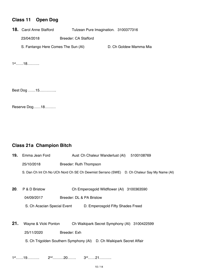### **Class 11 Open Dog**

**18.** Carol Anne Stafford Tulzean Pure Imagination. 3100377316

23/04/2018 Breeder: CA Stafford

S. Fantango Here Comes The Sun (AI) D. Ch Goldew Mamma Mia

1st……18……….

Best Dog ……15…………..

Reserve Dog……18………

#### **Class 21a Champion Bitch**

| 19. | Emma Jean Ford              | Aust Ch Chaleur Wanderlust (AI)<br>5100108769                                                 |
|-----|-----------------------------|-----------------------------------------------------------------------------------------------|
|     | 25/10/2018                  | Breeder: Ruth Thompson                                                                        |
|     |                             | D. Ch Chaleur Say My Name (AI)<br>S. Dan Ch Int Ch No UCh Nord Ch SE Ch Dewmist Serrano (SWE) |
|     |                             |                                                                                               |
| 20. | P & D Bristow               | Ch Emperosgold Wildflower (AI) 3100363590                                                     |
|     | 04/09/2017                  | Breeder: DL & PA Bristow                                                                      |
|     | S. Ch Acacian Special Event | D. Emperosgold Fifty Shades Freed                                                             |
|     |                             |                                                                                               |

- **21.** Wayne & Vicki Ponton Ch Waikipark Secret Symphony (AI) 3100422599 25/11/2020 Breeder: Exh
	- S. Ch Trigolden Southern Symphony (AI) D. Ch Waikipark Secret Affair

1st……19………. 2nd………20……. 3rd……21……….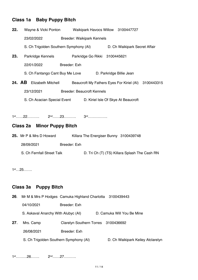## **Class 1a Baby Puppy Bitch**

| 22. |                                   | Wayne & Vicki Ponton Waikipark Havocs Willow 3100447727                               |
|-----|-----------------------------------|---------------------------------------------------------------------------------------|
|     | 23/02/2022                        | <b>Breeder: Waikipark Kennels</b>                                                     |
|     |                                   | S. Ch Trigolden Southern Symphony (AI)<br>D. Ch Waikipark Secret Affair               |
| 23. |                                   | Parkridge Kennels Parkridge Go Rikki 3100445621                                       |
|     | 22/01/2022                        | Breeder: Exh                                                                          |
|     |                                   | S. Ch Fantango Cant Buy Me Love D. Parkridge Billie Jean                              |
|     |                                   | <b>24. AB</b> Elizabeth Mitchell Beaucroft My Fathers Eyes For Kiriel (AI) 3100443315 |
|     | 23/12/2021                        | <b>Breeder: Beaucroft Kennels</b>                                                     |
|     |                                   | S. Ch Acacian Special Event D. Kiriel Isle Of Skye At Beaucroft                       |
|     |                                   |                                                                                       |
|     |                                   |                                                                                       |
|     | <b>Class 2a Minor Puppy Bitch</b> |                                                                                       |
|     | <b>25.</b> Mr P & Mrs D Howard    | Killara The Energiser Bunny 3100439748                                                |
|     | 28/09/2021                        | Breeder: Exh                                                                          |
|     | S. Ch Fernfall Street Talk        | D. Tri Ch (T) (TS) Killara Splash The Cash RN                                         |

1st…25…….

#### **Class 3a Puppy Bitch**

**26**. Mr M & Mrs P Hodges Camuka Highland Charlotta 3100439443

04/10/2021 Breeder: Exh

S. Askaval Anarchy With Alubyc (AI) D. Camuka Will You Be Mine

27. Mrs. Camp Clarelyn Southern Torres 3100436692

26/08/2021 Breeder: Exh

- S. Ch Trigolden Southern Symphony (AI) D. Ch Waikipark Keiley Atclarelyn
	-

1st………26……. 2nd……27……….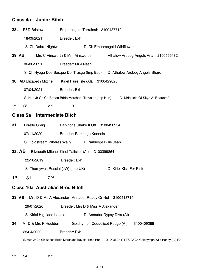#### **Class 4a Junior Bitch**

| 28.    | <b>P&amp;D Bristow</b>           | Emperosgold Tarraleah 3100437719                         |                                       |  |
|--------|----------------------------------|----------------------------------------------------------|---------------------------------------|--|
|        | 18/09/2021                       | Breeder: Exh                                             |                                       |  |
|        | S. Ch Dobro Nightwatch           |                                                          | D. Ch Emperosgold Wildflower          |  |
| 29. AB |                                  | Mrs C Ainsworth & Mr I Ainsworth                         | Athalow Ardbeg Angels Aria 2100566182 |  |
|        | 06/06/2021                       | Breeder: Mr J Nash                                       |                                       |  |
|        |                                  | S. Ch Hyoga Des Bosque Del Trasgu (Imp Esp)              | D. Athalow Ardbeg Angels Share        |  |
|        | <b>30. AB Elizabeth Mitchell</b> | Kiriel Faire Isle (AI). 3100429825                       |                                       |  |
|        | 07/04/2021                       | Breeder: Exh                                             |                                       |  |
|        |                                  | S. Hun Jr Ch Ch Bonett Bride Merchant Traveler (Imp Hun) | D. Kiriel Isle Of Skye At Beaucroft   |  |
|        |                                  |                                                          |                                       |  |

#### **Class 5a Intermediate Bitch**

| 31. | Lorelle Greig              |                            | Parkridge Shake It Off 3100420254 |
|-----|----------------------------|----------------------------|-----------------------------------|
|     | 07/11/2020                 | Breeder: Parkridge Kennels |                                   |
|     | S. Goldstreem Wheres Wally |                            | D Parkridge Billie Jean           |

- **32. AB** Elizabeth MitchellKiriel Talisker (AI) 3100399864
	- 22/10/2019 Breeder: Exh
	- S. Thornywait Rossini (JW) (Imp UK) D. Kiriel Kiss For Pink

1st……31………. 2nd…………….

#### **Class 10a Australian Bred Bitch**

**33**. **AB** Mrs D & Ms A Alexander Annador Ready Or Not 3100413719

29/07/2020 Breeder: Mrs D & Miss A Alexander

S. Kiriel Highland Laddie D. Annador Gypsy Diva (AI)

**34**. Mr D & Mrs K Houlden Goldnymph Coquelicot Rouge (AI) 3100409288 25/04/2020 Breeder: Exh

S. Hun Jr Ch Ch Bonett Bride Merchant Traveler (Imp Hun) D. Dual Ch (T) TS Gr Ch Goldnymph Wild Honey (AI) RA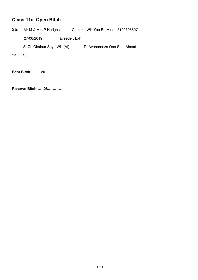## **Class 11a Open Bitch**

**35.** Mr M & Mrs P Hodges Camuka Will You Be Mine 3100395507

27/06/2019 Breeder: Exh

S. Ch Chaleur Say I Will (AI) D. Avonbreeze One Step Ahead

1st……35……….

**Best Bitch………26……………**

**Reserve Bitch……28………….**